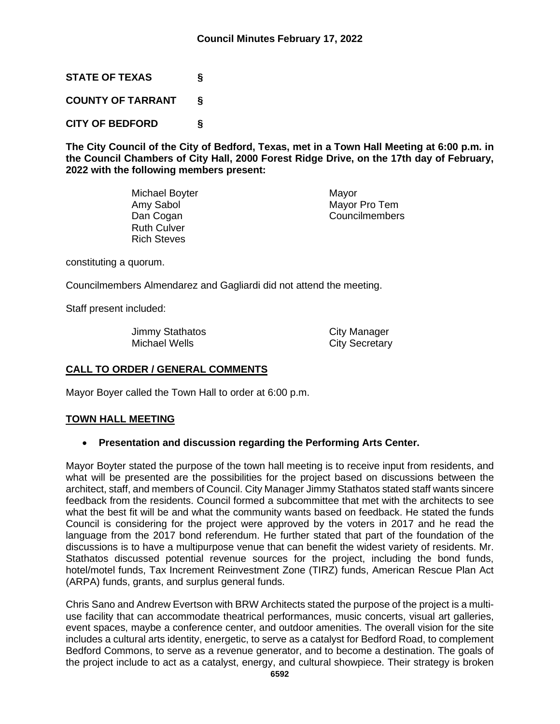**STATE OF TEXAS §**

**COUNTY OF TARRANT §**

**CITY OF BEDFORD §**

**The City Council of the City of Bedford, Texas, met in a Town Hall Meeting at 6:00 p.m. in the Council Chambers of City Hall, 2000 Forest Ridge Drive, on the 17th day of February, 2022 with the following members present:**

> Michael Boyter **Michael Boyter** Mayor<br>Amy Sabol Mayor Ruth Culver Rich Steves

Mayor Pro Tem Dan Cogan **Councilmembers** 

constituting a quorum.

Councilmembers Almendarez and Gagliardi did not attend the meeting.

Staff present included:

Jimmy Stathatos **City Manager** Michael Wells **City Secretary** 

# **CALL TO ORDER / GENERAL COMMENTS**

Mayor Boyer called the Town Hall to order at 6:00 p.m.

## **TOWN HALL MEETING**

## • **Presentation and discussion regarding the Performing Arts Center.**

Mayor Boyter stated the purpose of the town hall meeting is to receive input from residents, and what will be presented are the possibilities for the project based on discussions between the architect, staff, and members of Council. City Manager Jimmy Stathatos stated staff wants sincere feedback from the residents. Council formed a subcommittee that met with the architects to see what the best fit will be and what the community wants based on feedback. He stated the funds Council is considering for the project were approved by the voters in 2017 and he read the language from the 2017 bond referendum. He further stated that part of the foundation of the discussions is to have a multipurpose venue that can benefit the widest variety of residents. Mr. Stathatos discussed potential revenue sources for the project, including the bond funds, hotel/motel funds, Tax Increment Reinvestment Zone (TIRZ) funds, American Rescue Plan Act (ARPA) funds, grants, and surplus general funds.

Chris Sano and Andrew Evertson with BRW Architects stated the purpose of the project is a multiuse facility that can accommodate theatrical performances, music concerts, visual art galleries, event spaces, maybe a conference center, and outdoor amenities. The overall vision for the site includes a cultural arts identity, energetic, to serve as a catalyst for Bedford Road, to complement Bedford Commons, to serve as a revenue generator, and to become a destination. The goals of the project include to act as a catalyst, energy, and cultural showpiece. Their strategy is broken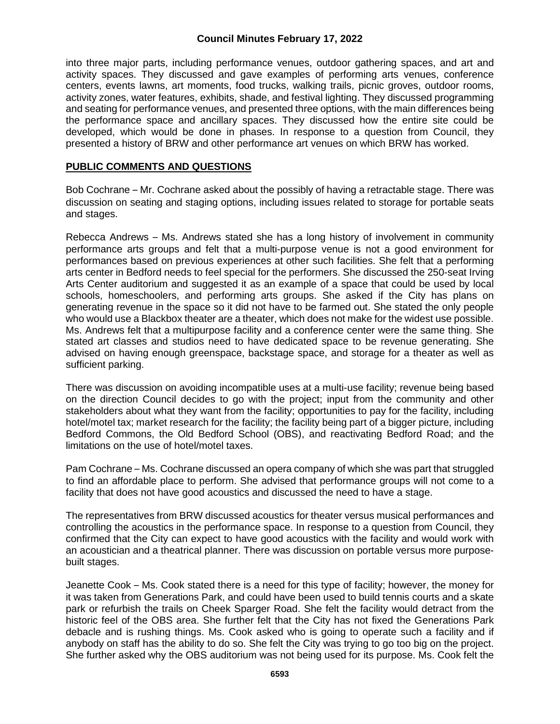### **Council Minutes February 17, 2022**

into three major parts, including performance venues, outdoor gathering spaces, and art and activity spaces. They discussed and gave examples of performing arts venues, conference centers, events lawns, art moments, food trucks, walking trails, picnic groves, outdoor rooms, activity zones, water features, exhibits, shade, and festival lighting. They discussed programming and seating for performance venues, and presented three options, with the main differences being the performance space and ancillary spaces. They discussed how the entire site could be developed, which would be done in phases. In response to a question from Council, they presented a history of BRW and other performance art venues on which BRW has worked.

#### **PUBLIC COMMENTS AND QUESTIONS**

Bob Cochrane – Mr. Cochrane asked about the possibly of having a retractable stage. There was discussion on seating and staging options, including issues related to storage for portable seats and stages.

Rebecca Andrews – Ms. Andrews stated she has a long history of involvement in community performance arts groups and felt that a multi-purpose venue is not a good environment for performances based on previous experiences at other such facilities. She felt that a performing arts center in Bedford needs to feel special for the performers. She discussed the 250-seat Irving Arts Center auditorium and suggested it as an example of a space that could be used by local schools, homeschoolers, and performing arts groups. She asked if the City has plans on generating revenue in the space so it did not have to be farmed out. She stated the only people who would use a Blackbox theater are a theater, which does not make for the widest use possible. Ms. Andrews felt that a multipurpose facility and a conference center were the same thing. She stated art classes and studios need to have dedicated space to be revenue generating. She advised on having enough greenspace, backstage space, and storage for a theater as well as sufficient parking.

There was discussion on avoiding incompatible uses at a multi-use facility; revenue being based on the direction Council decides to go with the project; input from the community and other stakeholders about what they want from the facility; opportunities to pay for the facility, including hotel/motel tax; market research for the facility; the facility being part of a bigger picture, including Bedford Commons, the Old Bedford School (OBS), and reactivating Bedford Road; and the limitations on the use of hotel/motel taxes.

Pam Cochrane – Ms. Cochrane discussed an opera company of which she was part that struggled to find an affordable place to perform. She advised that performance groups will not come to a facility that does not have good acoustics and discussed the need to have a stage.

The representatives from BRW discussed acoustics for theater versus musical performances and controlling the acoustics in the performance space. In response to a question from Council, they confirmed that the City can expect to have good acoustics with the facility and would work with an acoustician and a theatrical planner. There was discussion on portable versus more purposebuilt stages.

Jeanette Cook – Ms. Cook stated there is a need for this type of facility; however, the money for it was taken from Generations Park, and could have been used to build tennis courts and a skate park or refurbish the trails on Cheek Sparger Road. She felt the facility would detract from the historic feel of the OBS area. She further felt that the City has not fixed the Generations Park debacle and is rushing things. Ms. Cook asked who is going to operate such a facility and if anybody on staff has the ability to do so. She felt the City was trying to go too big on the project. She further asked why the OBS auditorium was not being used for its purpose. Ms. Cook felt the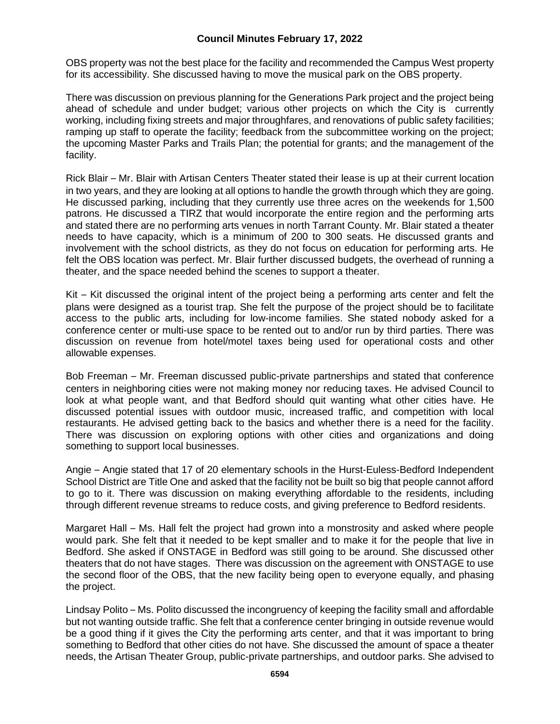## **Council Minutes February 17, 2022**

OBS property was not the best place for the facility and recommended the Campus West property for its accessibility. She discussed having to move the musical park on the OBS property.

There was discussion on previous planning for the Generations Park project and the project being ahead of schedule and under budget; various other projects on which the City is currently working, including fixing streets and major throughfares, and renovations of public safety facilities; ramping up staff to operate the facility; feedback from the subcommittee working on the project; the upcoming Master Parks and Trails Plan; the potential for grants; and the management of the facility.

Rick Blair – Mr. Blair with Artisan Centers Theater stated their lease is up at their current location in two years, and they are looking at all options to handle the growth through which they are going. He discussed parking, including that they currently use three acres on the weekends for 1,500 patrons. He discussed a TIRZ that would incorporate the entire region and the performing arts and stated there are no performing arts venues in north Tarrant County. Mr. Blair stated a theater needs to have capacity, which is a minimum of 200 to 300 seats. He discussed grants and involvement with the school districts, as they do not focus on education for performing arts. He felt the OBS location was perfect. Mr. Blair further discussed budgets, the overhead of running a theater, and the space needed behind the scenes to support a theater.

Kit – Kit discussed the original intent of the project being a performing arts center and felt the plans were designed as a tourist trap. She felt the purpose of the project should be to facilitate access to the public arts, including for low-income families. She stated nobody asked for a conference center or multi-use space to be rented out to and/or run by third parties. There was discussion on revenue from hotel/motel taxes being used for operational costs and other allowable expenses.

Bob Freeman – Mr. Freeman discussed public-private partnerships and stated that conference centers in neighboring cities were not making money nor reducing taxes. He advised Council to look at what people want, and that Bedford should quit wanting what other cities have. He discussed potential issues with outdoor music, increased traffic, and competition with local restaurants. He advised getting back to the basics and whether there is a need for the facility. There was discussion on exploring options with other cities and organizations and doing something to support local businesses.

Angie – Angie stated that 17 of 20 elementary schools in the Hurst-Euless-Bedford Independent School District are Title One and asked that the facility not be built so big that people cannot afford to go to it. There was discussion on making everything affordable to the residents, including through different revenue streams to reduce costs, and giving preference to Bedford residents.

Margaret Hall – Ms. Hall felt the project had grown into a monstrosity and asked where people would park. She felt that it needed to be kept smaller and to make it for the people that live in Bedford. She asked if ONSTAGE in Bedford was still going to be around. She discussed other theaters that do not have stages. There was discussion on the agreement with ONSTAGE to use the second floor of the OBS, that the new facility being open to everyone equally, and phasing the project.

Lindsay Polito – Ms. Polito discussed the incongruency of keeping the facility small and affordable but not wanting outside traffic. She felt that a conference center bringing in outside revenue would be a good thing if it gives the City the performing arts center, and that it was important to bring something to Bedford that other cities do not have. She discussed the amount of space a theater needs, the Artisan Theater Group, public-private partnerships, and outdoor parks. She advised to